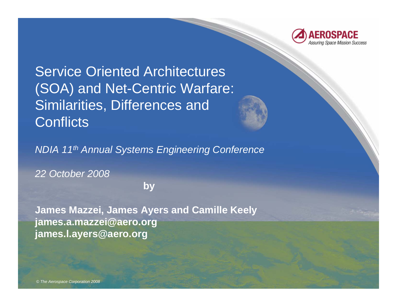

Service Oriented Architectures (SOA) and Net-Centric Warfare: Similarities, Differences and **Conflicts** 



*NDIA 11th Annual Systems Engineering Conference*

*22 October 2008*

**by**

**James Mazzei, James Ayers and Camille Keely james.a.mazzei@aero.org james.l.ayers@aero.org**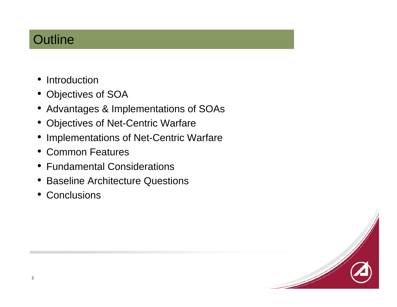### **Outline**

- •**Introduction**
- Objectives of SOA
- Advantages & Implementations of SOAs
- Objectives of Net-Centric Warfare
- Implementations of Net-Centric Warfare
- Common Features
- Fundamental Considerations
- •Baseline Architecture Questions
- •**Conclusions**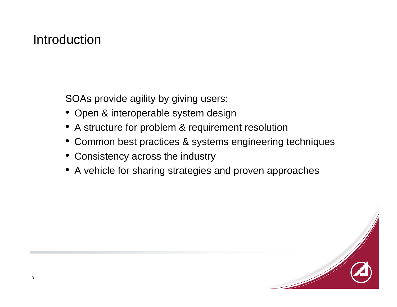#### Introduction

SOAs provide agility by giving users:

- Open & interoperable system design
- A structure for problem & requirement resolution
- Common best practices & systems engineering techniques
- Consistency across the industry
- A vehicle for sharing strategies and proven approaches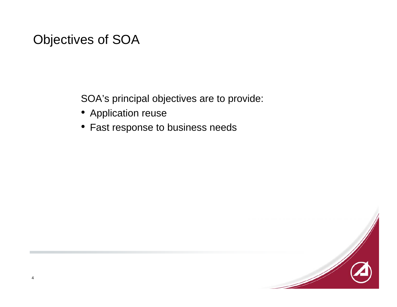### Objectives of SOA

SOA's principal objectives are to provide:

- Application reuse
- Fast response to business needs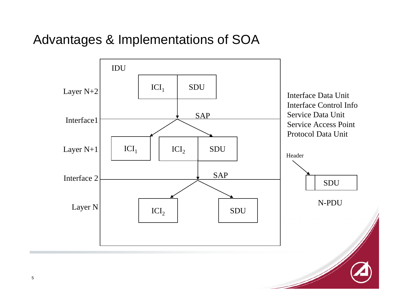#### Advantages & Implementations of SOA

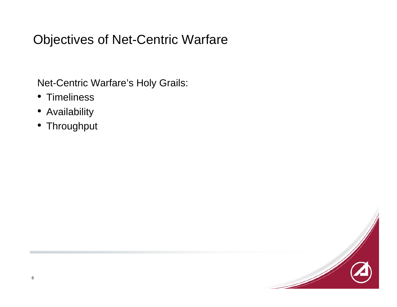# Objectives of Net-Centric Warfare

Net-Centric Warfare's Holy Grails:

- Timeliness
- Availability
- Throughput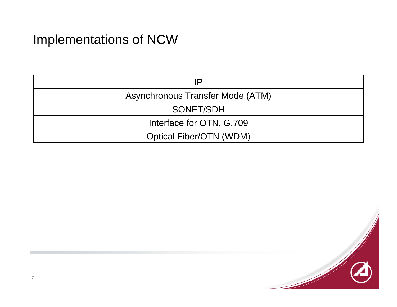## Implementations of NCW

| IP.                              |  |  |  |  |  |
|----------------------------------|--|--|--|--|--|
| Asynchronous Transfer Mode (ATM) |  |  |  |  |  |
| SONET/SDH                        |  |  |  |  |  |
| Interface for OTN, G.709         |  |  |  |  |  |
| Optical Fiber/OTN (WDM)          |  |  |  |  |  |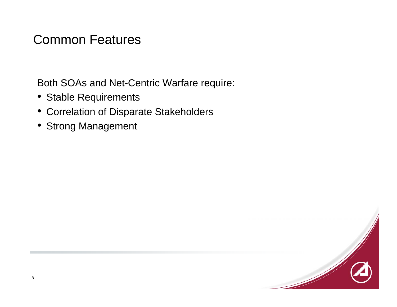### Common Features

Both SOAs and Net-Centric Warfare require:

- Stable Requirements
- Correlation of Disparate Stakeholders
- Strong Management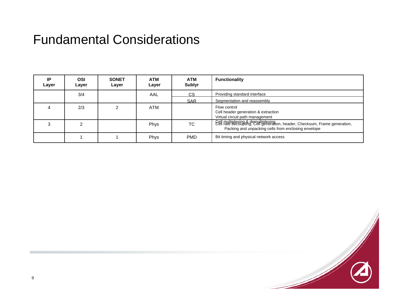### Fundamental Considerations

| IP<br>Layer | OSI<br>Laver | <b>SONET</b><br>Layer | ATM<br>Layer | ATM<br><b>Sublyr</b> | <b>Functionality</b>                                                                                                                                                     |
|-------------|--------------|-----------------------|--------------|----------------------|--------------------------------------------------------------------------------------------------------------------------------------------------------------------------|
|             | 3/4          |                       | AAL          | <u>CS</u>            | Providing standard interface                                                                                                                                             |
|             |              |                       |              | <b>SAR</b>           | Segmentation and reassembly                                                                                                                                              |
|             | 2/3          |                       | <b>ATM</b>   |                      | Flow control<br>Cell header generation & extraction<br>Virtual circuit path management                                                                                   |
| ົ           | ົ            |                       | <b>Phys</b>  | ТC                   | Cell multiplexing & demultiplexing.<br>Cell rate decoupling, Cell generation, header, Checksum, Frame generation,<br>Packing and unpacking cells from enclosing envelope |
|             |              |                       | <b>Phys</b>  | <b>PMD</b>           | Bit timing and physical network access                                                                                                                                   |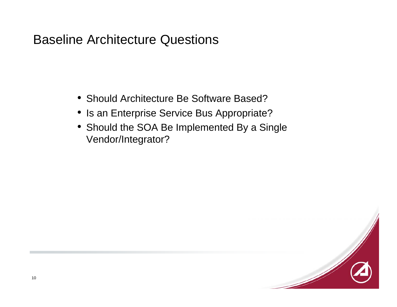#### Baseline Architecture Questions

- Should Architecture Be Software Based?
- Is an Enterprise Service Bus Appropriate?
- Should the SOA Be Implemented By a Single Vendor/Integrator?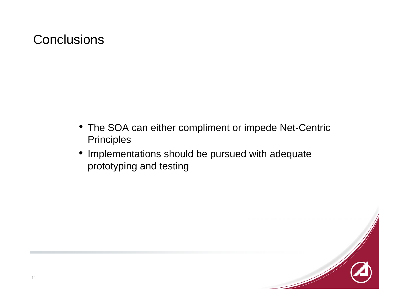#### **Conclusions**

- The SOA can either compliment or impede Net-Centric **Principles**
- Implementations should be pursued with adequate prototyping and testing